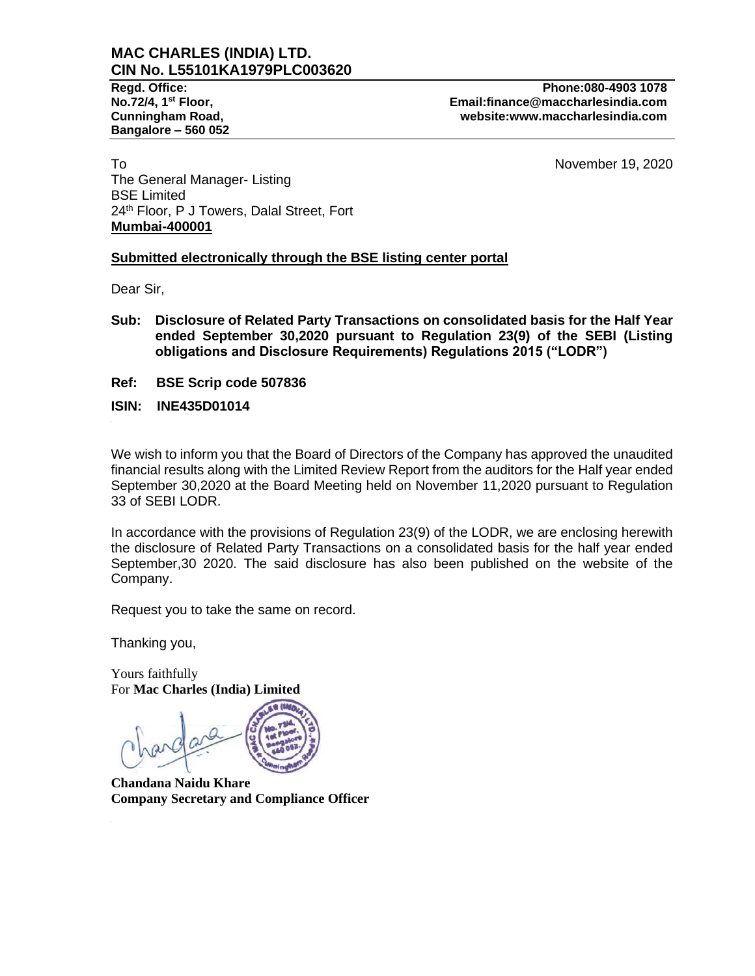# **MAC CHARLES (INDIA) LTD. CIN No. L55101KA1979PLC003620**

**Bangalore – 560 052**

**Regd. Office: Phone:080-4903 1078 No.72/4, 1st Floor, Email:finance@maccharlesindia.com Cunningham Road, website:www.maccharlesindia.com**

To a state of the November 19, 2020 and the November 19, 2020 and the November 19, 2020 and the November 19, 2020 The General Manager- Listing BSE Limited 24<sup>th</sup> Floor, P J Towers, Dalal Street, Fort **Mumbai-400001**

## **Submitted electronically through the BSE listing center portal**

Dear Sir,

- **Sub: Disclosure of Related Party Transactions on consolidated basis for the Half Year ended September 30,2020 pursuant to Regulation 23(9) of the SEBI (Listing obligations and Disclosure Requirements) Regulations 2015 ("LODR")**
- **Ref: BSE Scrip code 507836**
- **ISIN: INE435D01014**

We wish to inform you that the Board of Directors of the Company has approved the unaudited financial results along with the Limited Review Report from the auditors for the Half year ended September 30,2020 at the Board Meeting held on November 11,2020 pursuant to Regulation 33 of SEBI LODR.

In accordance with the provisions of Regulation 23(9) of the LODR, we are enclosing herewith the disclosure of Related Party Transactions on a consolidated basis for the half year ended September,30 2020. The said disclosure has also been published on the website of the Company.

Request you to take the same on record.

Thanking you,

Yours faithfully For **Mac Charles (India) Limited**

**Chandana Naidu Khare Company Secretary and Compliance Officer**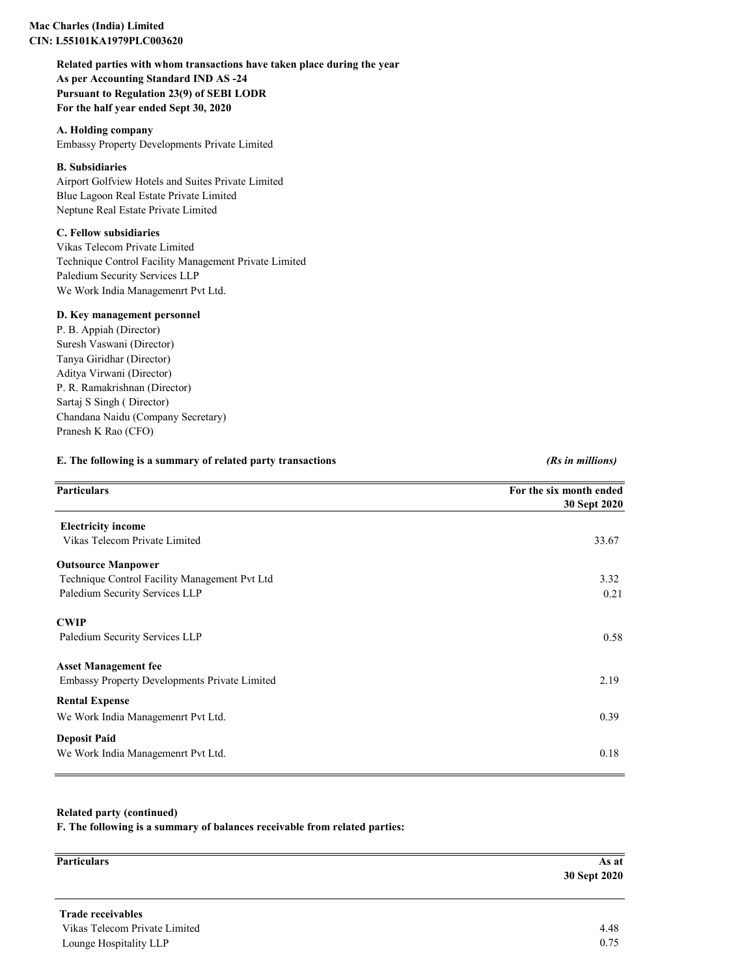### **Mac Charles (India) Limited CIN: L55101KA1979PLC003620**

**Related parties with whom transactions have taken place during the year As per Accounting Standard IND AS -24 Pursuant to Regulation 23(9) of SEBI LODR For the half year ended Sept 30, 2020**

**A. Holding company** Embassy Property Developments Private Limited

#### **B. Subsidiaries**

Airport Golfview Hotels and Suites Private Limited Blue Lagoon Real Estate Private Limited Neptune Real Estate Private Limited

#### **C. Fellow subsidiaries**

Vikas Telecom Private Limited Technique Control Facility Management Private Limited Paledium Security Services LLP We Work India Managemenrt Pvt Ltd.

#### **D. Key management personnel**

P. B. Appiah (Director) Suresh Vaswani (Director) Tanya Giridhar (Director) Aditya Virwani (Director) P. R. Ramakrishnan (Director) Sartaj S Singh ( Director) Chandana Naidu (Company Secretary) Pranesh K Rao (CFO)

### **E. The following is a summary of related party transactions** *(Rs in millions)*

| <b>Particulars</b>                                   | For the six month ended |  |
|------------------------------------------------------|-------------------------|--|
|                                                      | 30 Sept 2020            |  |
| <b>Electricity income</b>                            |                         |  |
| Vikas Telecom Private Limited                        | 33.67                   |  |
| <b>Outsource Manpower</b>                            |                         |  |
| Technique Control Facility Management Pvt Ltd        | 3.32                    |  |
| Paledium Security Services LLP                       | 0.21                    |  |
| <b>CWIP</b>                                          |                         |  |
| Paledium Security Services LLP                       | 0.58                    |  |
| <b>Asset Management fee</b>                          |                         |  |
| <b>Embassy Property Developments Private Limited</b> | 2.19                    |  |
| <b>Rental Expense</b>                                |                         |  |
| We Work India Managemenrt Pvt Ltd.                   | 0.39                    |  |
| <b>Deposit Paid</b>                                  |                         |  |
| We Work India Managemenrt Pvt Ltd.                   | 0.18                    |  |

### **Related party (continued)**

**F. The following is a summary of balances receivable from related parties:**

| As at        |
|--------------|
| 30 Sept 2020 |
|              |
|              |

 **Trade receivables**  Lounge Hospitality LLP 0.75 Vikas Telecom Private Limited